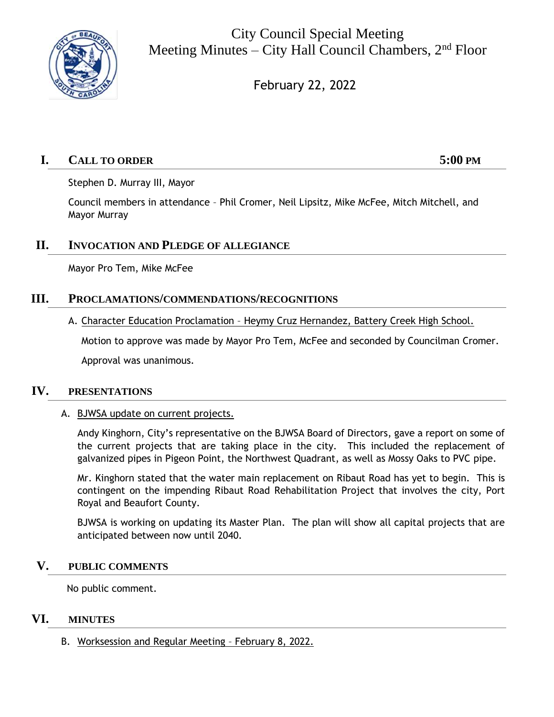

City Council Special Meeting Meeting Minutes – City Hall Council Chambers,  $2<sup>nd</sup>$  Floor

February 22, 2022

# **I. CALL TO ORDER 5:00 PM**

Stephen D. Murray III, Mayor

Council members in attendance – Phil Cromer, Neil Lipsitz, Mike McFee, Mitch Mitchell, and Mayor Murray

## **II. INVOCATION AND PLEDGE OF ALLEGIANCE**

Mayor Pro Tem, Mike McFee

## **III. PROCLAMATIONS/COMMENDATIONS/RECOGNITIONS**

A. Character Education Proclamation – Heymy Cruz Hernandez, Battery Creek High School.

Motion to approve was made by Mayor Pro Tem, McFee and seconded by Councilman Cromer. Approval was unanimous.

## **IV. PRESENTATIONS**

A. BJWSA update on current projects.

Andy Kinghorn, City's representative on the BJWSA Board of Directors, gave a report on some of the current projects that are taking place in the city. This included the replacement of galvanized pipes in Pigeon Point, the Northwest Quadrant, as well as Mossy Oaks to PVC pipe.

Mr. Kinghorn stated that the water main replacement on Ribaut Road has yet to begin. This is contingent on the impending Ribaut Road Rehabilitation Project that involves the city, Port Royal and Beaufort County.

BJWSA is working on updating its Master Plan. The plan will show all capital projects that are anticipated between now until 2040.

## **V. PUBLIC COMMENTS**

No public comment.

## **VI. MINUTES**

B. Worksession and Regular Meeting – February 8, 2022.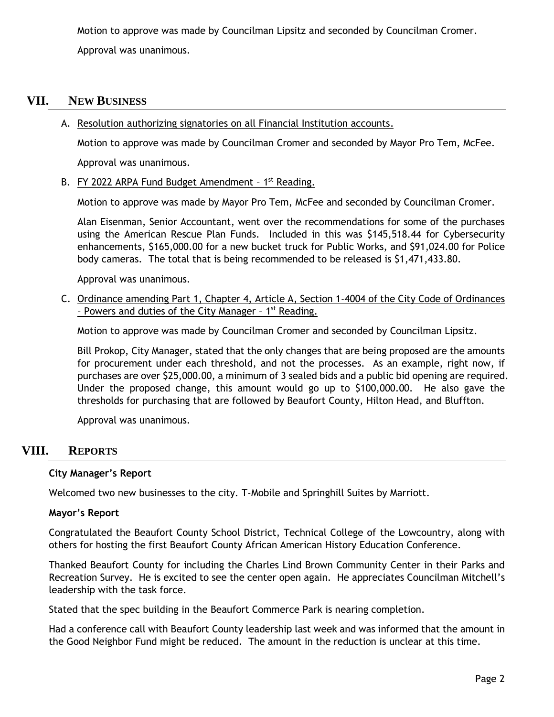Motion to approve was made by Councilman Lipsitz and seconded by Councilman Cromer. Approval was unanimous.

# **VII. NEW BUSINESS**

A. Resolution authorizing signatories on all Financial Institution accounts.

Motion to approve was made by Councilman Cromer and seconded by Mayor Pro Tem, McFee.

Approval was unanimous.

B. FY 2022 ARPA Fund Budget Amendment - 1<sup>st</sup> Reading.

Motion to approve was made by Mayor Pro Tem, McFee and seconded by Councilman Cromer.

Alan Eisenman, Senior Accountant, went over the recommendations for some of the purchases using the American Rescue Plan Funds. Included in this was \$145,518.44 for Cybersecurity enhancements, \$165,000.00 for a new bucket truck for Public Works, and \$91,024.00 for Police body cameras. The total that is being recommended to be released is \$1,471,433.80.

Approval was unanimous.

C. Ordinance amending Part 1, Chapter 4, Article A, Section 1-4004 of the City Code of Ordinances - Powers and duties of the City Manager - 1<sup>st</sup> Reading.

Motion to approve was made by Councilman Cromer and seconded by Councilman Lipsitz.

Bill Prokop, City Manager, stated that the only changes that are being proposed are the amounts for procurement under each threshold, and not the processes. As an example, right now, if purchases are over \$25,000.00, a minimum of 3 sealed bids and a public bid opening are required. Under the proposed change, this amount would go up to \$100,000.00. He also gave the thresholds for purchasing that are followed by Beaufort County, Hilton Head, and Bluffton.

Approval was unanimous.

# **VIII. REPORTS**

## **City Manager's Report**

Welcomed two new businesses to the city. T-Mobile and Springhill Suites by Marriott.

#### **Mayor's Report**

Congratulated the Beaufort County School District, Technical College of the Lowcountry, along with others for hosting the first Beaufort County African American History Education Conference.

Thanked Beaufort County for including the Charles Lind Brown Community Center in their Parks and Recreation Survey. He is excited to see the center open again. He appreciates Councilman Mitchell's leadership with the task force.

Stated that the spec building in the Beaufort Commerce Park is nearing completion.

Had a conference call with Beaufort County leadership last week and was informed that the amount in the Good Neighbor Fund might be reduced. The amount in the reduction is unclear at this time.